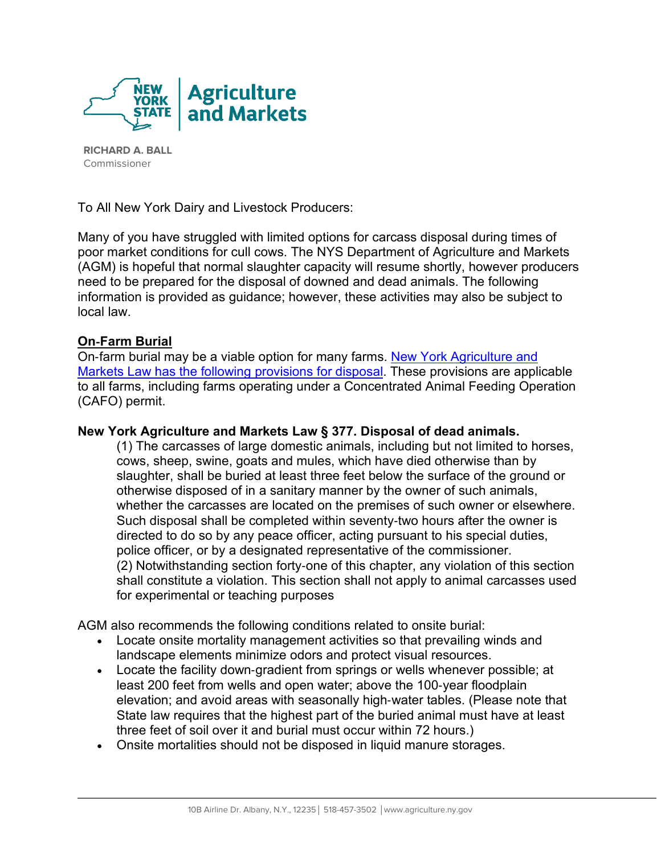

**RICHARD A. BALL**  Commissioner

To All New York Dairy and Livestock Producers:

Many of you have struggled with limited options for carcass disposal during times of poor market conditions for cull cows. The NYS Department of Agriculture and Markets (AGM) is hopeful that normal slaughter capacity will resume shortly, however producers need to be prepared for the disposal of downed and dead animals. The following information is provided as guidance; however, these activities may also be subject to local law.

## **On**‐**Farm Burial**

On‐farm burial may be a viable option for many farms. [New York Agriculture and](https://www.nysenate.gov/legislation/laws/AGM/377)  [Markets Law has the following provisions for disposal.](https://www.nysenate.gov/legislation/laws/AGM/377) These provisions are applicable to all farms, including farms operating under a Concentrated Animal Feeding Operation (CAFO) permit.

## **New York Agriculture and Markets Law § 377. Disposal of dead animals.**

(1) The carcasses of large domestic animals, including but not limited to horses, cows, sheep, swine, goats and mules, which have died otherwise than by slaughter, shall be buried at least three feet below the surface of the ground or otherwise disposed of in a sanitary manner by the owner of such animals, whether the carcasses are located on the premises of such owner or elsewhere. Such disposal shall be completed within seventy‐two hours after the owner is directed to do so by any peace officer, acting pursuant to his special duties, police officer, or by a designated representative of the commissioner. (2) Notwithstanding section forty‐one of this chapter, any violation of this section shall constitute a violation. This section shall not apply to animal carcasses used for experimental or teaching purposes

AGM also recommends the following conditions related to onsite burial:

- Locate onsite mortality management activities so that prevailing winds and landscape elements minimize odors and protect visual resources.
- Locate the facility down-gradient from springs or wells whenever possible; at least 200 feet from wells and open water; above the 100‐year floodplain elevation; and avoid areas with seasonally high‐water tables. (Please note that State law requires that the highest part of the buried animal must have at least three feet of soil over it and burial must occur within 72 hours.)
- Onsite mortalities should not be disposed in liquid manure storages.